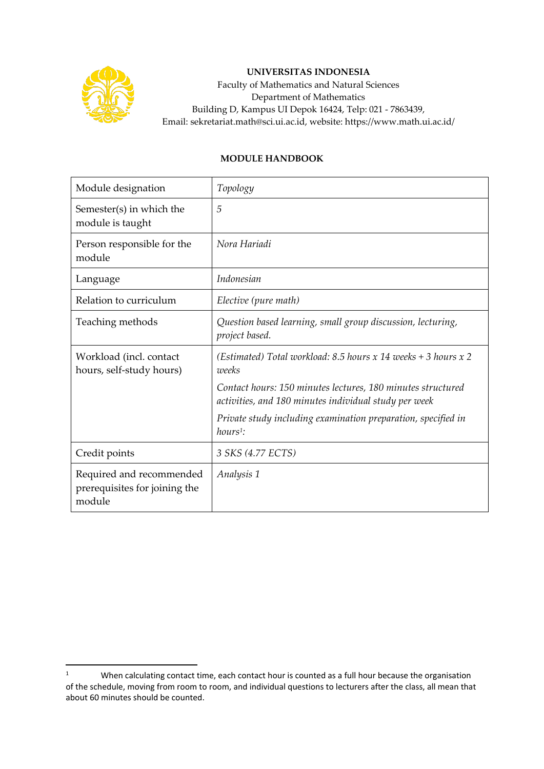

## **UNIVERSITAS INDONESIA**

Faculty of Mathematics and Natural Sciences Department of Mathematics Building D, Kampus UI Depok 16424, Telp: 021 - 7863439, Email: sekretariat.math@sci.ui.ac.id, website: https://www.math.ui.ac.id/

## **MODULE HANDBOOK**

| Module designation                                                  | Topology                                                                                                             |
|---------------------------------------------------------------------|----------------------------------------------------------------------------------------------------------------------|
| Semester(s) in which the<br>module is taught                        | 5                                                                                                                    |
| Person responsible for the<br>module                                | Nora Hariadi                                                                                                         |
| Language                                                            | Indonesian                                                                                                           |
| Relation to curriculum                                              | Elective (pure math)                                                                                                 |
| Teaching methods                                                    | Question based learning, small group discussion, lecturing,<br>project based.                                        |
| Workload (incl. contact<br>hours, self-study hours)                 | (Estimated) Total workload: 8.5 hours x 14 weeks $+$ 3 hours x 2<br><i>uneeks</i>                                    |
|                                                                     | Contact hours: 150 minutes lectures, 180 minutes structured<br>activities, and 180 minutes individual study per week |
|                                                                     | Private study including examination preparation, specified in<br>$hours1$ :                                          |
| Credit points                                                       | 3 SKS (4.77 ECTS)                                                                                                    |
| Required and recommended<br>prerequisites for joining the<br>module | Analysis 1                                                                                                           |

<sup>&</sup>lt;sup>1</sup> When calculating contact time, each contact hour is counted as a full hour because the organisation of the schedule, moving from room to room, and individual questions to lecturers after the class, all mean that about 60 minutes should be counted.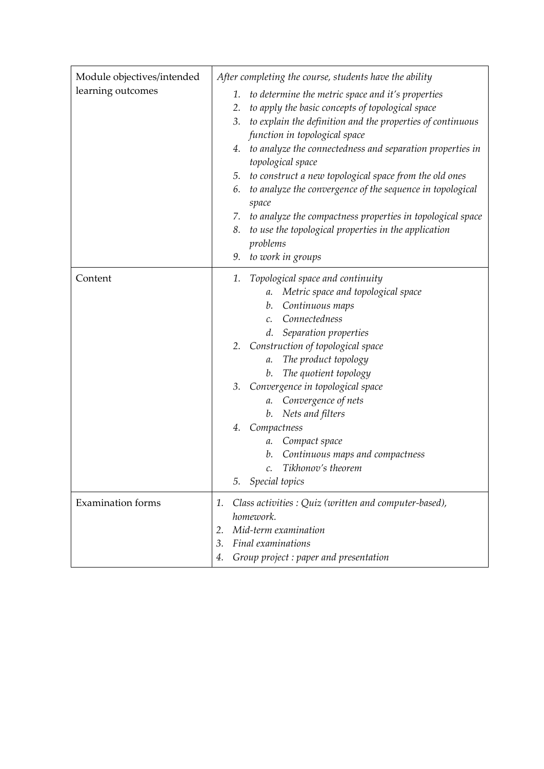| Module objectives/intended | After completing the course, students have the ability           |
|----------------------------|------------------------------------------------------------------|
| learning outcomes          | to determine the metric space and it's properties<br>1.          |
|                            | to apply the basic concepts of topological space<br>2.           |
|                            | to explain the definition and the properties of continuous<br>3. |
|                            | function in topological space                                    |
|                            | to analyze the connectedness and separation properties in<br>4.  |
|                            | topological space                                                |
|                            | 5. to construct a new topological space from the old ones        |
|                            | to analyze the convergence of the sequence in topological<br>6.  |
|                            | space                                                            |
|                            | 7. to analyze the compactness properties in topological space    |
|                            | to use the topological properties in the application<br>8.       |
|                            | problems                                                         |
|                            | 9. to work in groups                                             |
| Content                    | Topological space and continuity<br>1.                           |
|                            | Metric space and topological space<br>a.                         |
|                            | Continuous maps<br>b.                                            |
|                            | Connectedness<br>$\mathcal{C}$ .                                 |
|                            | d. Separation properties                                         |
|                            | 2. Construction of topological space                             |
|                            | The product topology<br>a.                                       |
|                            | The quotient topology<br>b.                                      |
|                            | 3. Convergence in topological space                              |
|                            | a. Convergence of nets                                           |
|                            | b. Nets and filters                                              |
|                            | 4. Compactness                                                   |
|                            | a. Compact space                                                 |
|                            | b. Continuous maps and compactness                               |
|                            | Tikhonov's theorem<br>$\mathcal{C}$ .                            |
|                            | Special topics<br>5.                                             |
| <b>Examination</b> forms   | Class activities : Quiz (written and computer-based),<br>1.      |
|                            | homework.                                                        |
|                            | Mid-term examination<br>2.                                       |
|                            | Final examinations<br>3.                                         |
|                            | Group project : paper and presentation<br>4.                     |